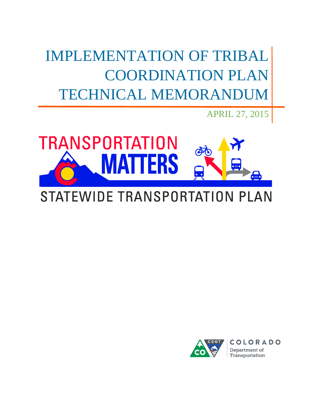IMPLEMENTATION OF TRIBAL COORDINATION PLAN TECHNICAL MEMORANDUM

**TRANSPORTATION** FRS  $\bullet = \bullet$ 

# STATEWIDE TRANSPORTATION PLAN



APRIL 27, 2015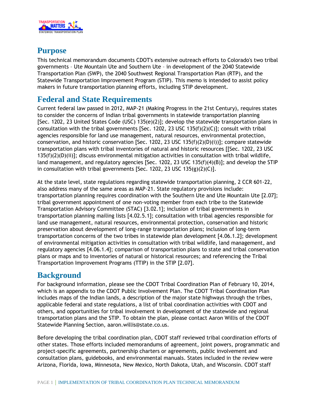

# **Purpose**

This technical memorandum documents CDOT's extensive outreach efforts to Colorado's two tribal governments – Ute Mountain Ute and Southern Ute – in development of the 2040 Statewide Transportation Plan (SWP), the 2040 Southwest Regional Transportation Plan (RTP), and the Statewide Transportation Improvement Program (STIP). This memo is intended to assist policy makers in future transportation planning efforts, including STIP development.

# **Federal and State Requirements**

Current federal law passed in 2012, MAP-21 (Making Progress in the 21st Century), requires states to consider the concerns of Indian tribal governments in statewide transportation planning [Sec. 1202, 23 United States Code (USC) 135(e)(2)]; develop the statewide transportation plans in consultation with the tribal governments [Sec. 1202, 23 USC 135(f)(2)(C)]; consult with tribal agencies responsible for land use management, natural resources, environmental protection, conservation, and historic conservation [Sec. 1202, 23 USC 135 $(f)(2)(D)(i))$ ]; compare statewide transportation plans with tribal inventories of natural and historic resources [[Sec. 1202, 23 USC  $135(f)(2)(D)(ii)$ ; discuss environmental mitigation activities in consultation with tribal wildlife, land management, and regulatory agencies [Sec. 1202, 23 USC 135(f)(4)(B)]; and develop the STIP in consultation with tribal governments [Sec. 1202, 23 USC 135(g)(2)(C)].

At the state level, state regulations regarding statewide transportation planning, 2 CCR 601-22, also address many of the same areas as MAP-21. State regulatory provisions include: transportation planning requires coordination with the Southern Ute and Ute Mountain Ute [2.07]; tribal government appointment of one non-voting member from each tribe to the Statewide Transportation Advisory Committee (STAC) [3.02.1]; inclusion of tribal governments in transportation planning mailing lists [4.02.5.1]; consultation with tribal agencies responsible for land use management, natural resources, environmental protection, conservation and historic preservation about development of long-range transportation plans; inclusion of long-term transportation concerns of the two tribes in statewide plan development [4.06.1.2]; development of environmental mitigation activities in consultation with tribal wildlife, land management, and regulatory agencies [4.06.1.4]; comparison of transportation plans to state and tribal conservation plans or maps and to inventories of natural or historical resources; and referencing the Tribal Transportation Improvement Programs (TTIP) in the STIP [2.07].

# **Background**

For background information, please see the CDOT Tribal Coordination Plan of February 10, 2014, which is an appendix to the CDOT Public Involvement Plan. The CDOT Tribal Coordination Plan includes maps of the Indian lands, a description of the major state highways through the tribes, applicable federal and state regulations, a list of tribal coordination activities with CDOT and others, and opportunities for tribal involvement in development of the statewide and regional transportation plans and the STIP. To obtain the plan, please contact Aaron Willis of the CDOT Statewide Planning Section, aaron.willis@state.co.us.

Before developing the tribal coordination plan, CDOT staff reviewed tribal coordination efforts of other states. Those efforts included memorandums of agreement, joint powers, programmatic and project-specific agreements, partnership charters or agreements, public involvement and consultation plans, guidebooks, and environmental manuals. States included in the review were Arizona, Florida, Iowa, Minnesota, New Mexico, North Dakota, Utah, and Wisconsin. CDOT staff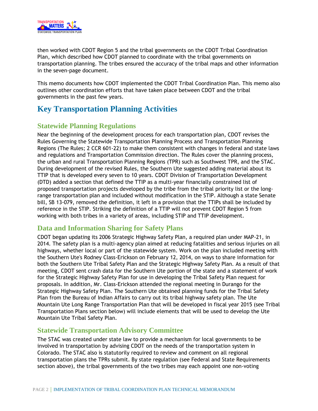

then worked with CDOT Region 5 and the tribal governments on the CDOT Tribal Coordination Plan, which described how CDOT planned to coordinate with the tribal governments on transportation planning. The tribes ensured the accuracy of the tribal maps and other information in the seven-page document.

This memo documents how CDOT implemented the CDOT Tribal Coordination Plan. This memo also outlines other coordination efforts that have taken place between CDOT and the tribal governments in the past few years.

# **Key Transportation Planning Activities**

# **Statewide Planning Regulations**

Near the beginning of the development process for each transportation plan, CDOT revises the Rules Governing the Statewide Transportation Planning Process and Transportation Planning Regions (The Rules; 2 CCR 601-22) to make them consistent with changes in federal and state laws and regulations and Transportation Commission direction. The Rules cover the planning process, the urban and rural Transportation Planning Regions (TPR) such as Southwest TPR, and the STAC. During development of the revised Rules, the Southern Ute suggested adding material about its TTIP that is developed every seven to 10 years. CDOT Division of Transportation Development (DTD) added a section that defined the TTIP as a multi-year financially constrained list of proposed transportation projects developed by the tribe from the tribal priority list or the longrange transportation plan and included without modification in the STIP. Although a state Senate bill, SB 13-079, removed the definition, it left in a provision that the TTIPs shall be included by reference in the STIP. Striking the definition of a TTIP will not prevent CDOT Region 5 from working with both tribes in a variety of areas, including STIP and TTIP development.

# **Data and Information Sharing for Safety Plans**

CDOT began updating its 2006 Strategic Highway Safety Plan, a required plan under MAP-21, in 2014. The safety plan is a multi-agency plan aimed at reducing fatalities and serious injuries on all highways, whether local or part of the statewide system. Work on the plan included meeting with the Southern Ute's Rodney Class-Erickson on February 12, 2014, on ways to share information for both the Southern Ute Tribal Safety Plan and the Strategic Highway Safety Plan. As a result of that meeting, CDOT sent crash data for the Southern Ute portion of the state and a statement of work for the Strategic Highway Safety Plan for use in developing the Tribal Safety Plan request for proposals. In addition, Mr. Class-Erickson attended the regional meeting in Durango for the Strategic Highway Safety Plan. The Southern Ute obtained planning funds for the Tribal Safety Plan from the Bureau of Indian Affairs to carry out its tribal highway safety plan. The Ute Mountain Ute Long Range Transportation Plan that will be developed in fiscal year 2015 (see Tribal Transportation Plans section below) will include elements that will be used to develop the Ute Mountain Ute Tribal Safety Plan.

## **Statewide Transportation Advisory Committee**

The STAC was created under state law to provide a mechanism for local governments to be involved in transportation by advising CDOT on the needs of the transportation system in Colorado. The STAC also is statutorily required to review and comment on all regional transportation plans the TPRs submit. By state regulation (see Federal and State Requirements section above), the tribal governments of the two tribes may each appoint one non-voting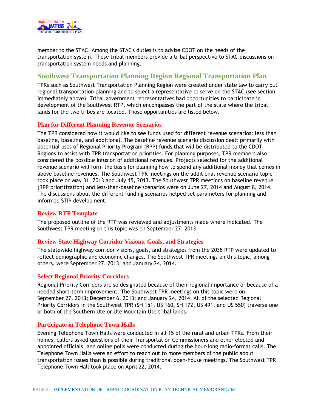

member to the STAC. Among the STAC's duties is to advise CDOT on the needs of the transportation system. These tribal members provide a tribal perspective to STAC discussions on transportation system needs and planning.

## **Southwest Transportation Planning Region Regional Transportation Plan**

TPRs such as Southwest Transportation Planning Region were created under state law to carry out regional transportation planning and to select a representative to serve on the STAC (see section immediately above). Tribal government representatives had opportunities to participate in development of the Southwest RTP, which encompasses the part of the state where the tribal lands for the two tribes are located. Those opportunities are listed below.

#### **Plan for Different Planning Revenue Scenarios**

The TPR considered how it would like to see funds used for different revenue scenarios: less than baseline, baseline, and additional. The baseline revenue scenario discussion dealt primarily with potential uses of Regional Priority Program (RPP) funds that will be distributed to the CDOT Regions to assist with TPR transportation priorities. For planning purposes, TPR members also considered the possible infusion of additional revenues. Projects selected for the additional revenue scenario will form the basis for planning how to spend any additional money that comes in above baseline revenues. The Southwest TPR meetings on the additional revenue scenario topic took place on May 31, 2013 and July 15, 2013. The Southwest TPR meetings on baseline revenue (RPP prioritization) and less-than-baseline scenarios were on June 27, 2014 and August 8, 2014. The discussions about the different funding scenarios helped set parameters for planning and informed STIP development.

#### **Review RTP Template**

The proposed outline of the RTP was reviewed and adjustments made where indicated. The Southwest TPR meeting on this topic was on September 27, 2013.

#### **Review State Highway Corridor Visions, Goals, and Strategies**

The statewide highway corridor visions, goals, and strategies from the 2035 RTP were updated to reflect demographic and economic changes. The Southwest TPR meetings on this topic, among others, were September 27, 2013, and January 24, 2014.

#### **Select Regional Priority Corridors**

Regional Priority Corridors are so designated because of their regional importance or because of a needed short-term improvement. The Southwest TPR meetings on this topic were on September 27, 2013; December 6, 2013; and January 24, 2014. All of the selected Regional Priority Corridors in the Southwest TPR (SH 151, US 160, SH 172, US 491, and US 550) traverse one or both of the Southern Ute or Ute Mountain Ute tribal lands.

#### **Participate in Telephone Town Halls**

Evening Telephone Town Halls were conducted in all 15 of the rural and urban TPRs. From their homes, callers asked questions of their Transportation Commissioners and other elected and appointed officials, and online polls were conducted during the hour-long radio-format calls. The Telephone Town Halls were an effort to reach out to more members of the public about transportation issues than is possible during traditional open-house meetings. The Southwest TPR Telephone Town Hall took place on April 22, 2014.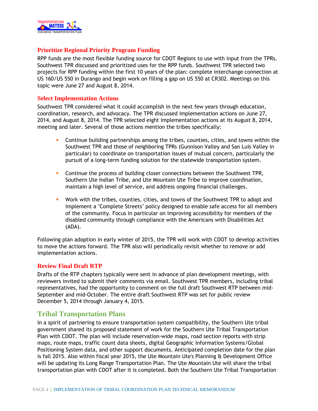

#### **Prioritize Regional Priority Program Funding**

RPP funds are the most flexible funding source for CDOT Regions to use with input from the TPRs. Southwest TPR discussed and prioritized uses for the RPP funds. Southwest TPR selected two projects for RPP funding within the first 10 years of the plan: complete interchange connection at US 160/US 550 in Durango and begin work on filling a gap on US 550 at CR302. Meetings on this topic were June 27 and August 8, 2014.

#### **Select Implementation Actions**

Southwest TPR considered what it could accomplish in the next few years through education, coordination, research, and advocacy. The TPR discussed implementation actions on June 27, 2014, and August 8, 2014. The TPR selected eight implementation actions at its August 8, 2014, meeting and later. Several of those actions mention the tribes specifically:

- Continue building partnerships among the tribes, counties, cities, and towns within the Southwest TPR and those of neighboring TPRs (Gunnison Valley and San Luis Valley in particular) to coordinate on transportation issues of mutual concern, particularly the pursuit of a long-term funding solution for the statewide transportation system.
- Continue the process of building closer connections between the Southwest TPR, Southern Ute Indian Tribe, and Ute Mountain Ute Tribe to improve coordination, maintain a high level of service, and address ongoing financial challenges.
- Work with the tribes, counties, cities, and towns of the Southwest TPR to adopt and implement a "Complete Streets" policy designed to enable safe access for all members of the community. Focus in particular on improving accessibility for members of the disabled community through compliance with the Americans with Disabilities Act (ADA).

Following plan adoption in early winter of 2015, the TPR will work with CDOT to develop activities to move the actions forward. The TPR also will periodically revisit whether to remove or add implementation actions.

#### **Review Final Draft RTP**

Drafts of the RTP chapters typically were sent in advance of plan development meetings, with reviewers invited to submit their comments via email. Southwest TPR members, including tribal representatives, had the opportunity to comment on the full draft Southwest RTP between mid-September and mid-October. The entire draft Southwest RTP was set for public review December 5, 2014 through January 4, 2015.

#### **Tribal Transportation Plans**

In a spirit of partnering to ensure transportation system compatibility, the Southern Ute tribal government shared its proposed statement of work for the Southern Ute Tribal Transportation Plan with CDOT. The plan will include reservation-wide maps, road section reports with strip maps, route maps, traffic count data sheets, digital Geographic Information Systems/Global Positioning System data, and other support documents. Anticipated completion date for the plan is fall 2015. Also within fiscal year 2015, the Ute Mountain Ute's Planning & Development Office will be updating its Long Range Transportation Plan. The Ute Mountain Ute will share the tribal transportation plan with CDOT after it is completed. Both the Southern Ute Tribal Transportation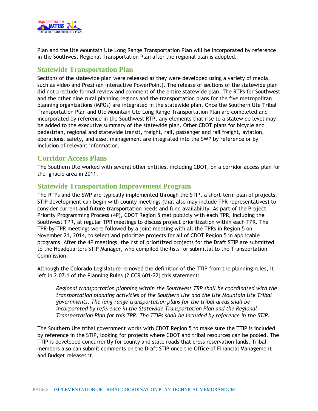

Plan and the Ute Mountain Ute Long Range Transportation Plan will be incorporated by reference in the Southwest Regional Transportation Plan after the regional plan is adopted.

### **Statewide Transportation Plan**

Sections of the statewide plan were released as they were developed using a variety of media, such as video and Prezi (an interactive PowerPoint). The release of sections of the statewide plan did not preclude formal review and comment of the entire statewide plan. The RTPs for Southwest and the other nine rural planning regions and the transportation plans for the five metropolitan planning organizations (MPOs) are integrated in the statewide plan. Once the Southern Ute Tribal Transportation Plan and Ute Mountain Ute Long Range Transportation Plan are completed and incorporated by reference in the Southwest RTP, any elements that rise to a statewide level may be added to the executive summary of the statewide plan. Other CDOT plans for bicycle and pedestrian, regional and statewide transit, freight, rail, passenger and rail freight, aviation, operations, safety, and asset management are integrated into the SWP by reference or by inclusion of relevant information.

# **Corridor Access Plans**

The Southern Ute worked with several other entities, including CDOT, on a corridor access plan for the Ignacio area in 2011.

## **Statewide Transportation Improvement Program**

The RTPs and the SWP are typically implemented through the STIP, a short-term plan of projects. STIP development can begin with county meetings (that also may include TPR representatives) to consider current and future transportation needs and fund availability. As part of the Project Priority Programming Process (4P), CDOT Region 5 met publicly with each TPR, including the Southwest TPR, at regular TPR meetings to discuss project prioritization within each TPR. The TPR-by-TPR meetings were followed by a joint meeting with all the TPRs in Region 5 on November 21, 2014, to select and prioritize projects for all of CDOT Region 5 in applicable programs. After the 4P meetings, the list of prioritized projects for the Draft STIP are submitted to the Headquarters STIP Manager, who compiled the lists for submittal to the Transportation Commission.

Although the Colorado Legislature removed the definition of the TTIP from the planning rules, it left in 2.07.1 of the Planning Rules (2 CCR 601-22) this statement:

*Regional transportation planning within the Southwest TRP shall be coordinated with the transportation planning activities of the Southern Ute and the Ute Mountain Ute Tribal governments. The long-range transportation plans for the tribal areas shall be incorporated by reference in the Statewide Transportation Plan and the Regional Transportation Plan for this TPR. The TTIPs shall be included by reference in the STIP.*

The Southern Ute tribal government works with CDOT Region 5 to make sure the TTIP is included by reference in the STIP, looking for projects where CDOT and tribal resources can be pooled. The TTIP is developed concurrently for county and state roads that cross reservation lands. Tribal members also can submit comments on the Draft STIP once the Office of Financial Management and Budget releases it.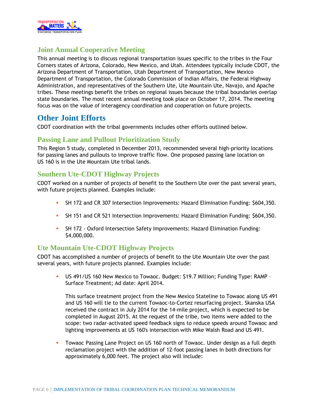

# **Joint Annual Cooperative Meeting**

This annual meeting is to discuss regional transportation issues specific to the tribes in the Four Corners states of Arizona, Colorado, New Mexico, and Utah. Attendees typically include CDOT, the Arizona Department of Transportation, Utah Department of Transportation, New Mexico Department of Transportation, the Colorado Commission of Indian Affairs, the Federal Highway Administration, and representatives of the Southern Ute, Ute Mountain Ute, Navajo, and Apache tribes. These meetings benefit the tribes on regional issues because the tribal boundaries overlap state boundaries. The most recent annual meeting took place on October 17, 2014. The meeting focus was on the value of interagency coordination and cooperation on future projects.

# **Other Joint Efforts**

CDOT coordination with the tribal governments includes other efforts outlined below.

# **Passing Lane and Pullout Prioritization Study**

This Region 5 study, completed in December 2013, recommended several high-priority locations for passing lanes and pullouts to improve traffic flow. One proposed passing lane location on US 160 is in the Ute Mountain Ute tribal lands.

# **Southern Ute-CDOT Highway Projects**

CDOT worked on a number of projects of benefit to the Southern Ute over the past several years, with future projects planned. Examples include:

- SH 172 and CR 307 Intersection Improvements: Hazard Elimination Funding: \$604,350.
- SH 151 and CR 521 Intersection Improvements: Hazard Elimination Funding: \$604,350.
- SH 172 Oxford Intersection Safety Improvements: Hazard Elimination Funding: \$4,000,000.

# **Ute Mountain Ute-CDOT Highway Projects**

CDOT has accomplished a number of projects of benefit to the Ute Mountain Ute over the past several years, with future projects planned. Examples include:

 US 491/US 160 New Mexico to Towaoc. Budget: \$19.7 Million; Funding Type: RAMP – Surface Treatment; Ad date: April 2014.

This surface treatment project from the New Mexico Stateline to Towaoc along US 491 and US 160 will tie to the current Towaoc-to-Cortez resurfacing project. Skanska USA received the contract in July 2014 for the 14-mile project, which is expected to be completed in August 2015. At the request of the tribe, two items were added to the scope: two radar-activated speed feedback signs to reduce speeds around Towaoc and lighting improvements at US 160's intersection with Mike Walsh Road and US 491.

 Towaoc Passing Lane Project on US 160 north of Towaoc. Under design as a full depth reclamation project with the addition of 12-foot passing lanes in both directions for approximately 6,000 feet. The project also will include: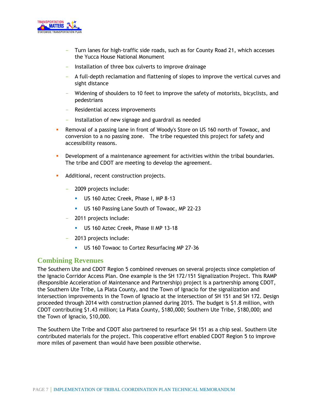

- Turn lanes for high-traffic side roads, such as for County Road 21, which accesses the Yucca House National Monument
- Installation of three box culverts to improve drainage
- A full-depth reclamation and flattening of slopes to improve the vertical curves and sight distance
- Widening of shoulders to 10 feet to improve the safety of motorists, bicyclists, and pedestrians
- Residential access improvements
- Installation of new signage and guardrail as needed
- Removal of a passing lane in front of Woody's Store on US 160 north of Towaoc, and conversion to a no passing zone. The tribe requested this project for safety and accessibility reasons.
- **Development of a maintenance agreement for activities within the tribal boundaries.** The tribe and CDOT are meeting to develop the agreement.
- **Additional, recent construction projects.** 
	- 2009 projects include:
		- US 160 Aztec Creek, Phase I, MP 8-13
		- US 160 Passing Lane South of Towaoc, MP 22-23
	- 2011 projects include:
		- US 160 Aztec Creek, Phase II MP 13-18
	- 2013 projects include:
		- **US 160 Towaoc to Cortez Resurfacing MP 27-36**

#### **Combining Revenues**

The Southern Ute and CDOT Region 5 combined revenues on several projects since completion of the Ignacio Corridor Access Plan. One example is the SH 172/151 Signalization Project. This RAMP (Responsible Acceleration of Maintenance and Partnership) project is a partnership among CDOT, the Southern Ute Tribe, La Plata County, and the Town of Ignacio for the signalization and intersection improvements in the Town of Ignacio at the intersection of SH 151 and SH 172. Design proceeded through 2014 with construction planned during 2015. The budget is \$1.8 million, with CDOT contributing \$1.43 million; La Plata County, \$180,000; Southern Ute Tribe, \$180,000; and the Town of Ignacio, \$10,000.

The Southern Ute Tribe and CDOT also partnered to resurface SH 151 as a chip seal. Southern Ute contributed materials for the project. This cooperative effort enabled CDOT Region 5 to improve more miles of pavement than would have been possible otherwise.